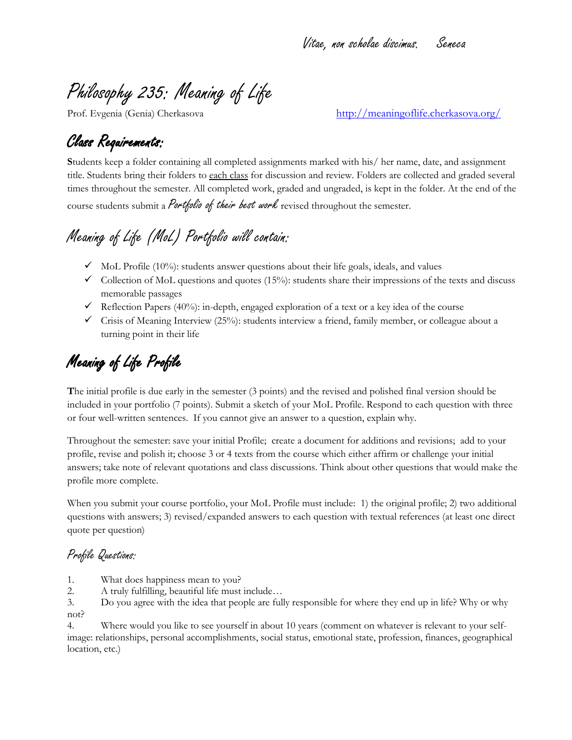Philosophy 235: Meaning of Life

Prof. Evgenia (Genia) Cherkasova <http://meaningoflife.cherkasova.org/>

## Class Requirements:

**S**tudents keep a folder containing all completed assignments marked with his/ her name, date, and assignment title. Students bring their folders to each class for discussion and review. Folders are collected and graded several times throughout the semester. All completed work, graded and ungraded, is kept in the folder. At the end of the course students submit a *Portfolio of their best work* revised throughout the semester.

# Meaning of Life (MoL) Portfolio will contain:

- $\checkmark$  MoL Profile (10%): students answer questions about their life goals, ideals, and values
- $\checkmark$  Collection of MoL questions and quotes (15%): students share their impressions of the texts and discuss memorable passages
- $\checkmark$  Reflection Papers (40%): in-depth, engaged exploration of a text or a key idea of the course
- $\checkmark$  Crisis of Meaning Interview (25%): students interview a friend, family member, or colleague about a turning point in their life

# Meaning of Life Profile

**T**he initial profile is due early in the semester (3 points) and the revised and polished final version should be included in your portfolio (7 points). Submit a sketch of your MoL Profile. Respond to each question with three or four well-written sentences. If you cannot give an answer to a question, explain why.

Throughout the semester: save your initial Profile; create a document for additions and revisions; add to your profile, revise and polish it; choose 3 or 4 texts from the course which either affirm or challenge your initial answers; take note of relevant quotations and class discussions. Think about other questions that would make the profile more complete.

When you submit your course portfolio, your MoL Profile must include: 1) the original profile; 2) two additional questions with answers; 3) revised/expanded answers to each question with textual references (at least one direct quote per question)

#### Profile Questions:

- 1. What does happiness mean to you?
- 2. A truly fulfilling, beautiful life must include…

3. Do you agree with the idea that people are fully responsible for where they end up in life? Why or why not?

4. Where would you like to see yourself in about 10 years (comment on whatever is relevant to your selfimage: relationships, personal accomplishments, social status, emotional state, profession, finances, geographical location, etc.)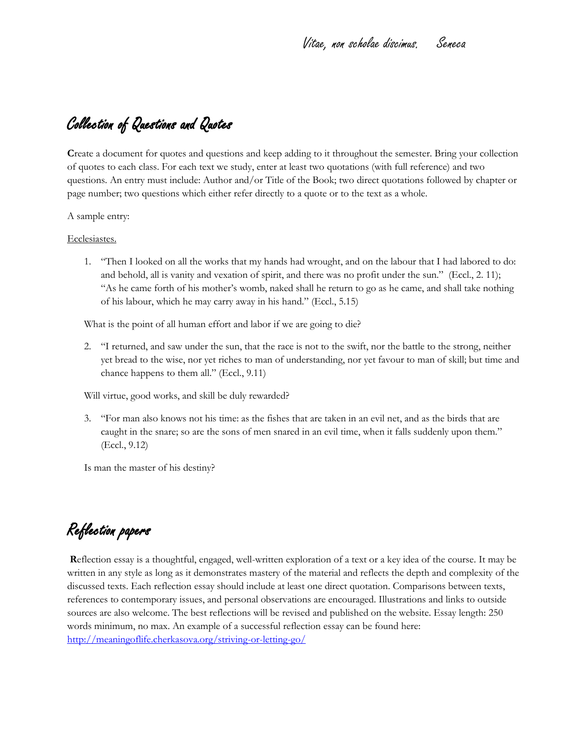### Collection of Questions and Quotes

**C**reate a document for quotes and questions and keep adding to it throughout the semester. Bring your collection of quotes to each class. For each text we study, enter at least two quotations (with full reference) and two questions. An entry must include: Author and/or Title of the Book; two direct quotations followed by chapter or page number; two questions which either refer directly to a quote or to the text as a whole.

A sample entry:

Ecclesiastes.

1. "Then I looked on all the works that my hands had wrought, and on the labour that I had labored to do: and behold, all is vanity and vexation of spirit, and there was no profit under the sun." (Eccl., 2. 11); "As he came forth of his mother's womb, naked shall he return to go as he came, and shall take nothing of his labour, which he may carry away in his hand." (Eccl., 5.15)

What is the point of all human effort and labor if we are going to die?

2. "I returned, and saw under the sun, that the race is not to the swift, nor the battle to the strong, neither yet bread to the wise, nor yet riches to man of understanding, nor yet favour to man of skill; but time and chance happens to them all." (Eccl., 9.11)

Will virtue, good works, and skill be duly rewarded?

3. "For man also knows not his time: as the fishes that are taken in an evil net, and as the birds that are caught in the snare; so are the sons of men snared in an evil time, when it falls suddenly upon them." (Eccl., 9.12)

Is man the master of his destiny?

## Reflection papers

**R**eflection essay is a thoughtful, engaged, well-written exploration of a text or a key idea of the course. It may be written in any style as long as it demonstrates mastery of the material and reflects the depth and complexity of the discussed texts. Each reflection essay should include at least one direct quotation. Comparisons between texts, references to contemporary issues, and personal observations are encouraged. Illustrations and links to outside sources are also welcome. The best reflections will be revised and published on the website. Essay length: 250 words minimum, no max. An example of a successful reflection essay can be found here: <http://meaningoflife.cherkasova.org/striving-or-letting-go/>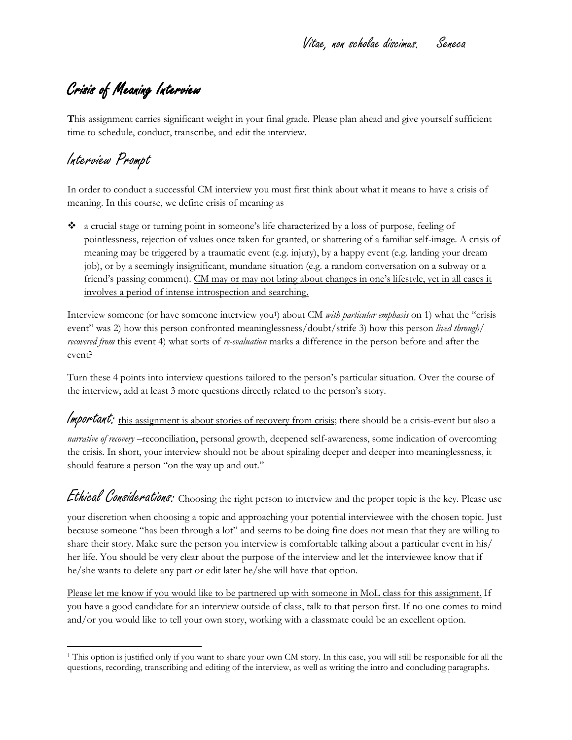## Crisis of Meaning Interview

**T**his assignment carries significant weight in your final grade. Please plan ahead and give yourself sufficient time to schedule, conduct, transcribe, and edit the interview.

## Interview Prompt

 $\overline{\phantom{a}}$ 

In order to conduct a successful CM interview you must first think about what it means to have a crisis of meaning. In this course, we define crisis of meaning as

 a crucial stage or turning point in someone's life characterized by a loss of purpose, feeling of pointlessness, rejection of values once taken for granted, or shattering of a familiar self-image. A crisis of meaning may be triggered by a traumatic event (e.g. injury), by a happy event (e.g. landing your dream job), or by a seemingly insignificant, mundane situation (e.g. a random conversation on a subway or a friend's passing comment). CM may or may not bring about changes in one's lifestyle, yet in all cases it involves a period of intense introspection and searching.

Interview someone (or have someone interview you<sup>1</sup>) about CM *with particular emphasis* on 1) what the "crisis event" was 2) how this person confronted meaninglessness/doubt/strife 3) how this person *lived through/ recovered from* this event 4) what sorts of *re-evaluation* marks a difference in the person before and after the event?

Turn these 4 points into interview questions tailored to the person's particular situation. Over the course of the interview, add at least 3 more questions directly related to the person's story.

Important: this assignment is about stories of recovery from crisis; there should be a crisis-event but also a

*narrative of recovery* –reconciliation, personal growth, deepened self-awareness, some indication of overcoming the crisis. In short, your interview should not be about spiraling deeper and deeper into meaninglessness, it should feature a person "on the way up and out."

Ethical Considerations: Choosing the right person to interview and the proper topic is the key. Please use

your discretion when choosing a topic and approaching your potential interviewee with the chosen topic. Just because someone "has been through a lot" and seems to be doing fine does not mean that they are willing to share their story. Make sure the person you interview is comfortable talking about a particular event in his/ her life. You should be very clear about the purpose of the interview and let the interviewee know that if he/she wants to delete any part or edit later he/she will have that option.

Please let me know if you would like to be partnered up with someone in MoL class for this assignment. If you have a good candidate for an interview outside of class, talk to that person first. If no one comes to mind and/or you would like to tell your own story, working with a classmate could be an excellent option.

<sup>1</sup> This option is justified only if you want to share your own CM story. In this case, you will still be responsible for all the questions, recording, transcribing and editing of the interview, as well as writing the intro and concluding paragraphs.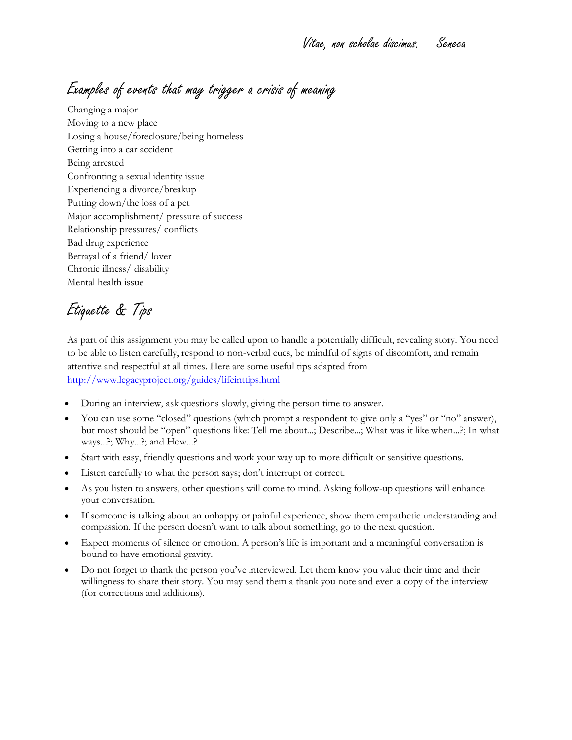Examples of events that may trigger a crisis of meaning

Changing a major Moving to a new place Losing a house/foreclosure/being homeless Getting into a car accident Being arrested Confronting a sexual identity issue Experiencing a divorce/breakup Putting down/the loss of a pet Major accomplishment/ pressure of success Relationship pressures/ conflicts Bad drug experience Betrayal of a friend/ lover Chronic illness/ disability Mental health issue

## Etiquette & Tips

As part of this assignment you may be called upon to handle a potentially difficult, revealing story. You need to be able to listen carefully, respond to non-verbal cues, be mindful of signs of discomfort, and remain attentive and respectful at all times. Here are some useful tips adapted from <http://www.legacyproject.org/guides/lifeinttips.html>

- During an interview, ask questions slowly, giving the person time to answer.
- You can use some "closed" questions (which prompt a respondent to give only a "yes" or "no" answer), but most should be "open" questions like: Tell me about...; Describe...; What was it like when...?; In what ways...?; Why...?; and How...?
- Start with easy, friendly questions and work your way up to more difficult or sensitive questions.
- Listen carefully to what the person says; don't interrupt or correct.
- As you listen to answers, other questions will come to mind. Asking follow-up questions will enhance your conversation.
- If someone is talking about an unhappy or painful experience, show them empathetic understanding and compassion. If the person doesn't want to talk about something, go to the next question.
- Expect moments of silence or emotion. A person's life is important and a meaningful conversation is bound to have emotional gravity.
- Do not forget to thank the person you've interviewed. Let them know you value their time and their willingness to share their story. You may send them a thank you note and even a copy of the interview (for corrections and additions).